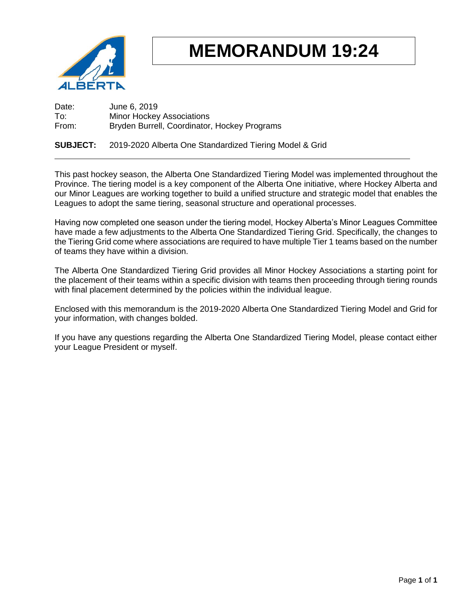

# **MEMORANDUM 19:24**

Date: June 6, 2019 To: Minor Hockey Associations<br>
From: Bryden Burrell. Coordinator Bryden Burrell, Coordinator, Hockey Programs

#### **SUBJECT:** 2019-2020 Alberta One Standardized Tiering Model & Grid

This past hockey season, the Alberta One Standardized Tiering Model was implemented throughout the Province. The tiering model is a key component of the Alberta One initiative, where Hockey Alberta and our Minor Leagues are working together to build a unified structure and strategic model that enables the Leagues to adopt the same tiering, seasonal structure and operational processes.

Having now completed one season under the tiering model, Hockey Alberta's Minor Leagues Committee have made a few adjustments to the Alberta One Standardized Tiering Grid. Specifically, the changes to the Tiering Grid come where associations are required to have multiple Tier 1 teams based on the number of teams they have within a division.

The Alberta One Standardized Tiering Grid provides all Minor Hockey Associations a starting point for the placement of their teams within a specific division with teams then proceeding through tiering rounds with final placement determined by the policies within the individual league.

Enclosed with this memorandum is the 2019-2020 Alberta One Standardized Tiering Model and Grid for your information, with changes bolded.

If you have any questions regarding the Alberta One Standardized Tiering Model, please contact either your League President or myself.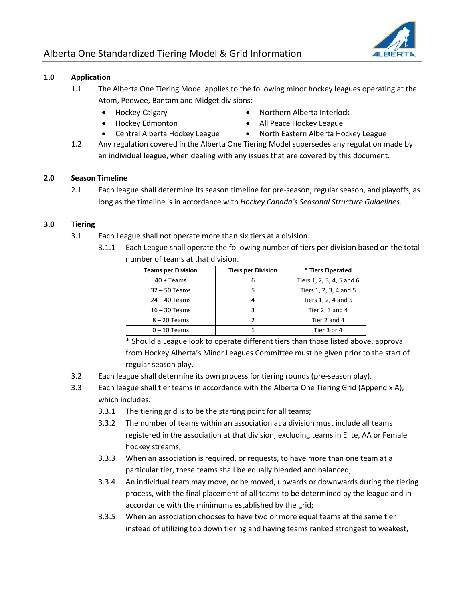

#### **1.0 Application**

- 1.1 The Alberta One Tiering Model applies to the following minor hockey leagues operating at the Atom, Peewee, Bantam and Midget divisions:
	- Hockey Calgary
	- Hockey Edmonton
	- Central Alberta Hockey League
- Northern Alberta Interlock
- All Peace Hockey League
- North Eastern Alberta Hockey League
- 1.2 Any regulation covered in the Alberta One Tiering Model supersedes any regulation made by an individual league, when dealing with any issues that are covered by this document.

#### **2.0 Season Timeline**

2.1 Each league shall determine its season timeline for pre-season, regular season, and playoffs, as long as the timeline is in accordance with *Hockey Canada's Seasonal Structure Guidelines.* 

#### **3.0 Tiering**

- 3.1 Each League shall not operate more than six tiers at a division.
	- 3.1.1 Each League shall operate the following number of tiers per division based on the total number of teams at that division.

| <b>Teams per Division</b> | <b>Tiers per Division</b> | * Tiers Operated          |  |  |
|---------------------------|---------------------------|---------------------------|--|--|
| $40 + T$ eams             | 6                         | Tiers 1, 2, 3, 4, 5 and 6 |  |  |
| $32 - 50$ Teams           |                           | Tiers 1, 2, 3, 4 and 5    |  |  |
| $24 - 40$ Teams           | 4                         | Tiers 1, 2, 4 and 5       |  |  |
| $16 - 30$ Teams           |                           | Tier 2, 3 and 4           |  |  |
| $8 - 20$ Teams            |                           | Tier 2 and 4              |  |  |
| $0 - 10$ Teams            |                           | Tier 3 or 4               |  |  |

\* Should a League look to operate different tiers than those listed above, approval from Hockey Alberta's Minor Leagues Committee must be given prior to the start of regular season play.

- 3.2 Each league shall determine its own process for tiering rounds (pre-season play).
- 3.3 Each league shall tier teams in accordance with the Alberta One Tiering Grid (Appendix A), which includes:
	- 3.3.1 The tiering grid is to be the starting point for all teams;
	- 3.3.2 The number of teams within an association at a division must include all teams registered in the association at that division, excluding teams in Elite, AA or Female hockey streams;
	- 3.3.3 When an association is required, or requests, to have more than one team at a particular tier, these teams shall be equally blended and balanced;
	- 3.3.4 An individual team may move, or be moved, upwards or downwards during the tiering process, with the final placement of all teams to be determined by the league and in accordance with the minimums established by the grid;
	- 3.3.5 When an association chooses to have two or more equal teams at the same tier instead of utilizing top down tiering and having teams ranked strongest to weakest,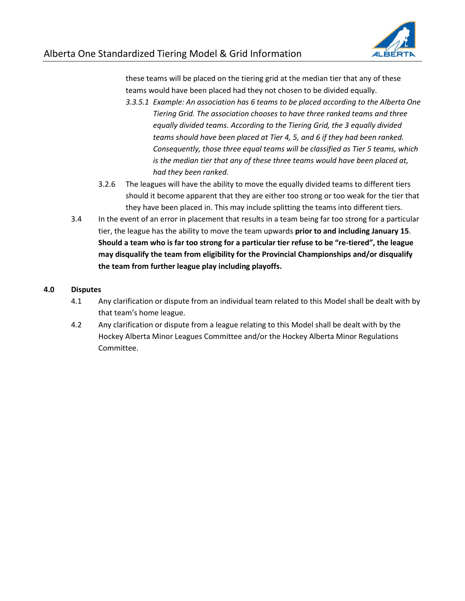

these teams will be placed on the tiering grid at the median tier that any of these teams would have been placed had they not chosen to be divided equally.

- *3.3.5.1 Example: An association has 6 teams to be placed according to the Alberta One Tiering Grid. The association chooses to have three ranked teams and three equally divided teams. According to the Tiering Grid, the 3 equally divided teams should have been placed at Tier 4, 5, and 6 if they had been ranked. Consequently, those three equal teams will be classified as Tier 5 teams, which is the median tier that any of these three teams would have been placed at, had they been ranked.*
- 3.2.6 The leagues will have the ability to move the equally divided teams to different tiers should it become apparent that they are either too strong or too weak for the tier that they have been placed in. This may include splitting the teams into different tiers.
- 3.4 In the event of an error in placement that results in a team being far too strong for a particular tier, the league has the ability to move the team upwards **prior to and including January 15**. **Should a team who is far too strong for a particular tier refuse to be "re-tiered", the league may disqualify the team from eligibility for the Provincial Championships and/or disqualify the team from further league play including playoffs.**

#### **4.0 Disputes**

- 4.1 Any clarification or dispute from an individual team related to this Model shall be dealt with by that team's home league.
- 4.2 Any clarification or dispute from a league relating to this Model shall be dealt with by the Hockey Alberta Minor Leagues Committee and/or the Hockey Alberta Minor Regulations Committee.